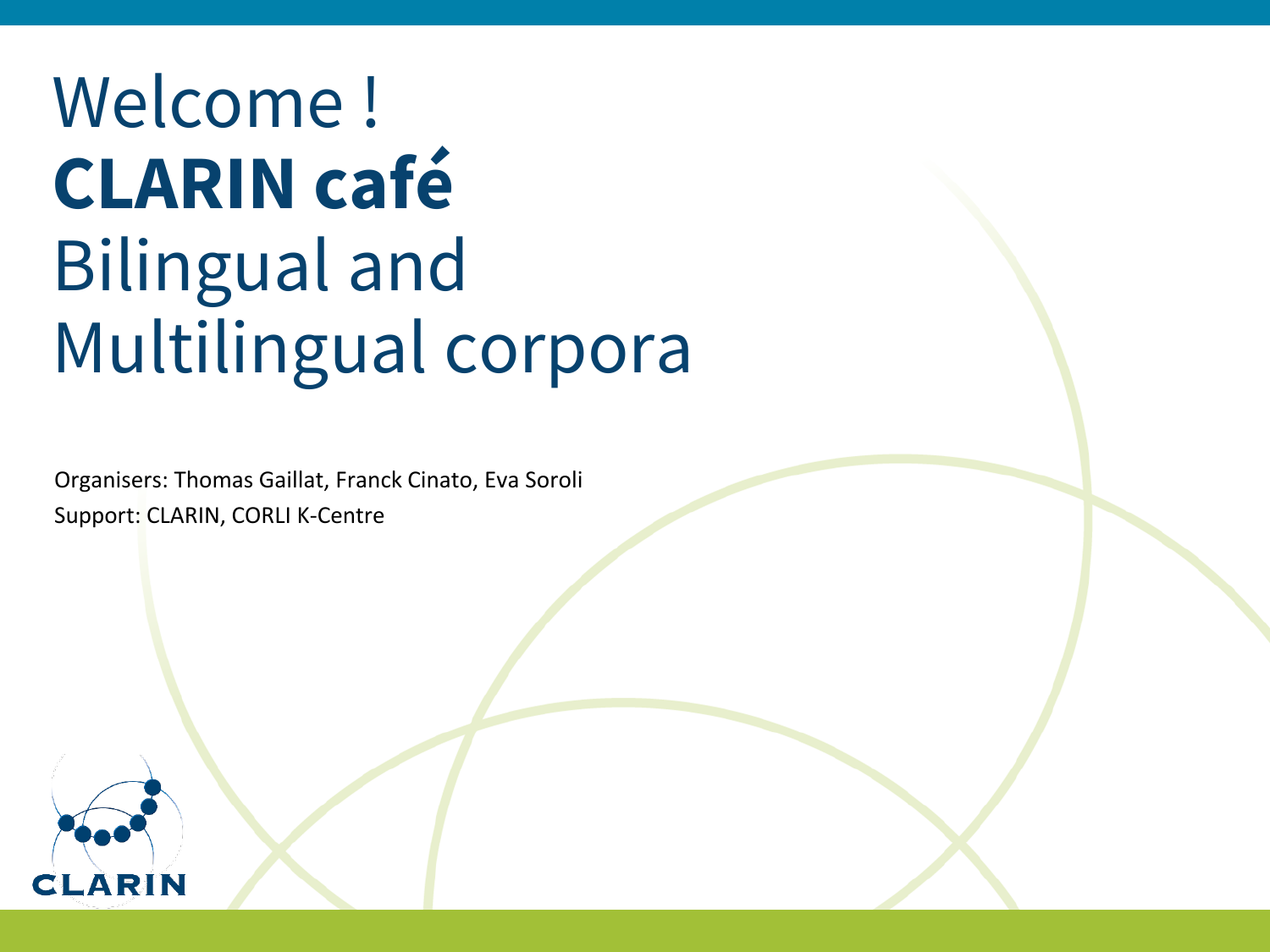# Welcome ! **CLARIN café** Bilingual and Multilingual corpora

Organisers: Thomas Gaillat, Franck Cinato, Eva Soroli Support: CLARIN, CORLI K-Centre

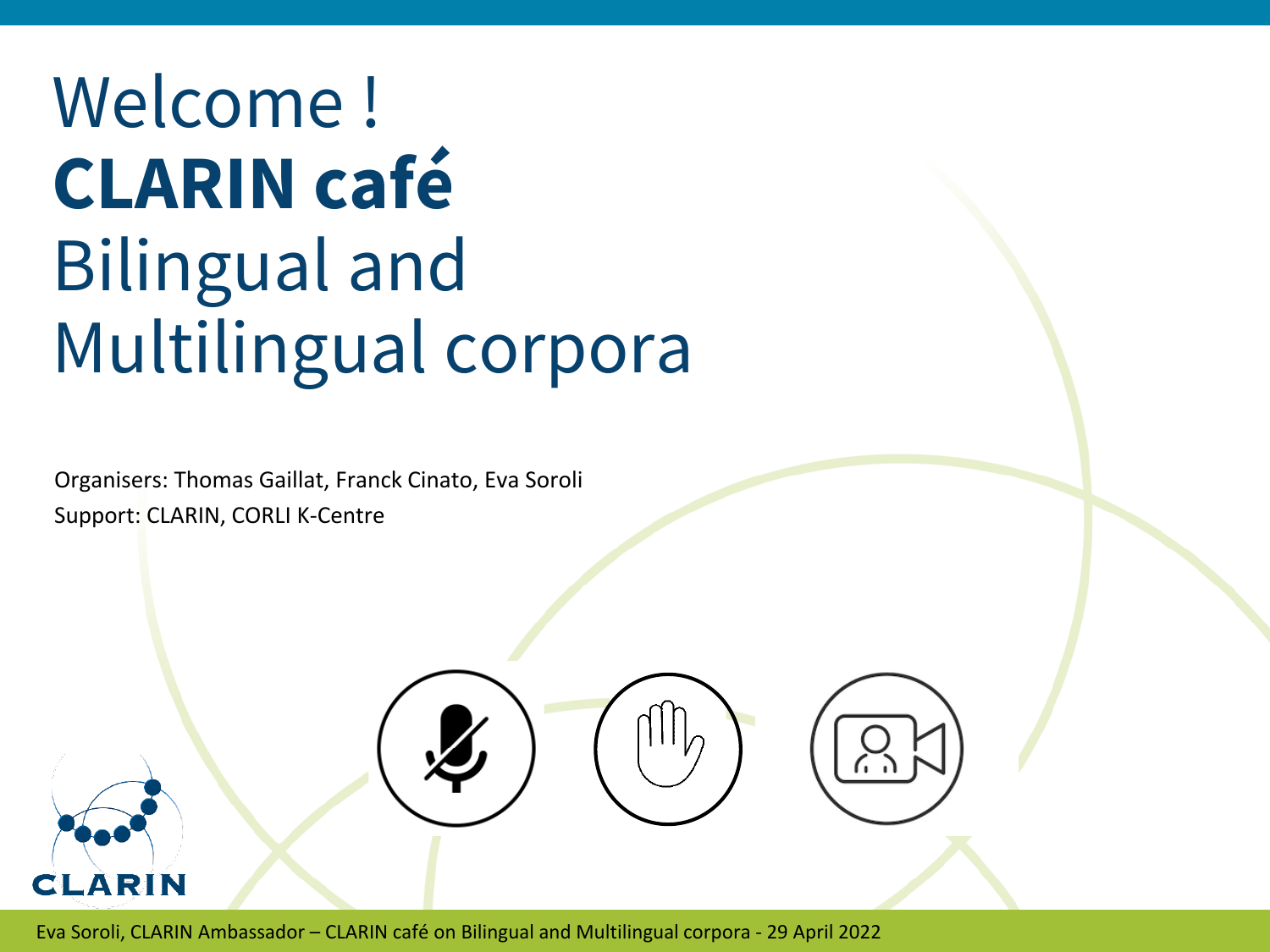# Welcome ! **CLARIN café** Bilingual and Multilingual corpora

Organisers: Thomas Gaillat, Franck Cinato, Eva Soroli Support: CLARIN, CORLI K-Centre



Eva Soroli, CLARIN Ambassador – CLARIN café on Bilingual and Multilingual corpora - 29 April 2022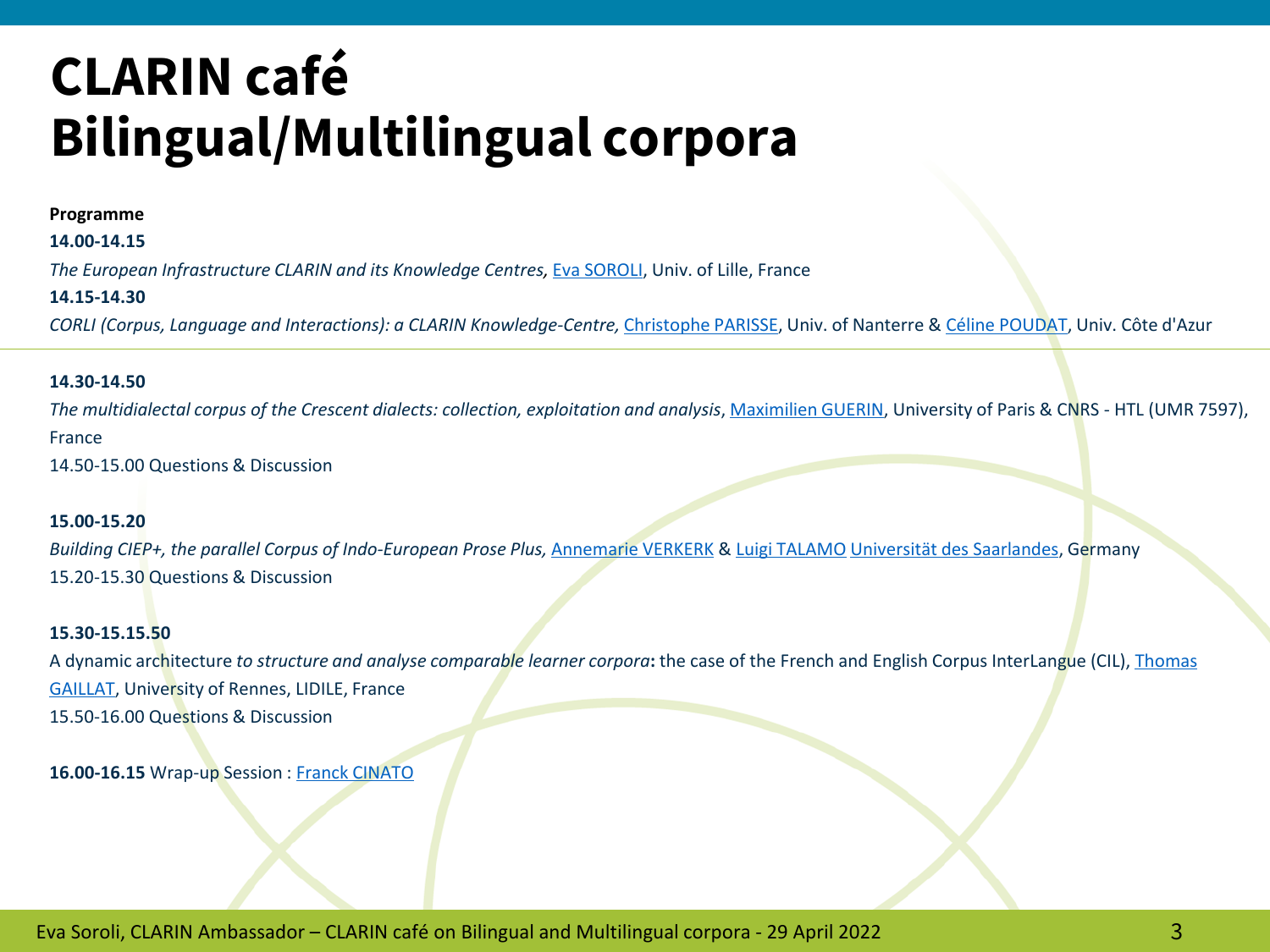#### **Programme**

**14.00-14.15**

*The European Infrastructure CLARIN and its Knowledge Centres,* [Eva SOROLI,](https://pro.univ-lille.fr/efstathia-soroli/) Univ. of Lille, France

#### **14.15-14.30**

*CORLI (Corpus, Language and Interactions): a CLARIN Knowledge-Centre,* [Christophe PARISSE](https://www.modyco.fr/fr/component/jsn/parisse.html), Univ. of Nanterre & [Céline POUDAT](http://poudat.fr/), Univ. Côte d'Azur

#### **14.30-14.50**

The multidialectal corpus of the Crescent dialects: collection, exploitation and analysis, [Maximilien GUERIN](http://maximilien.guerin.free.fr/), University of Paris & CNRS - HTL (UMR 7597), France

14.50-15.00 Questions & Discussion

#### **15.00-15.20**

*Building CIEP+, the parallel Corpus of Indo-European Prose Plus,* [Annemarie VERKERK](https://www.uni-saarland.de/lehrstuhl/verkerk.html) & [Luigi TALAMO](https://www.uni-saarland.de/lehrstuhl/verkerk/personen.html) Universität [des Saarlandes](https://www.researchgate.net/institution/Universitaet-des-Saarlandes), Germany 15.20-15.30 Questions & Discussion

#### **15.30-15.15.50**

A dynamic architecture *to structure and analyse comparable learner corpora***:** [the case of the French and English Corpus InterLangue](https://perso.univ-rennes2.fr/en/thomas.gaillat) (CIL), Thomas GAILLAT, University of Rennes, LIDILE, France 15.50-16.00 Questions & Discussion

16.00-16.15 Wrap-up Session : [Franck CINATO](https://htl.cnrs.fr/equipe/franck-cinato)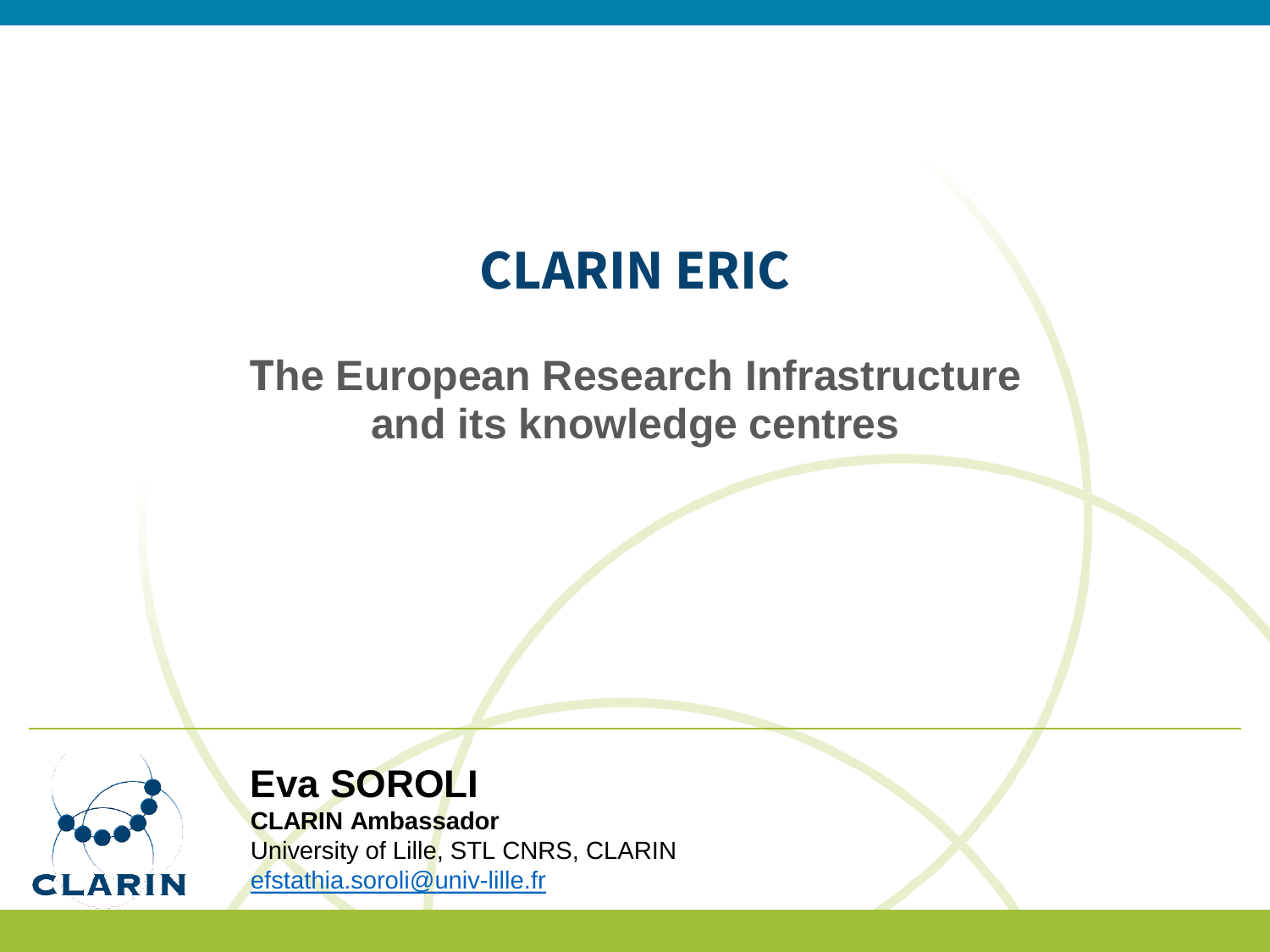### **CLARIN ERIC**

### **The European Research Infrastructure and its knowledge centres**



### **Eva SOROLI**

**CLARIN Ambassador**

University of Lille, STL CNRS, CLARIN [efstathia.soroli@univ-lille.fr](mailto:efstathia.Soroli@univ-lille.fr)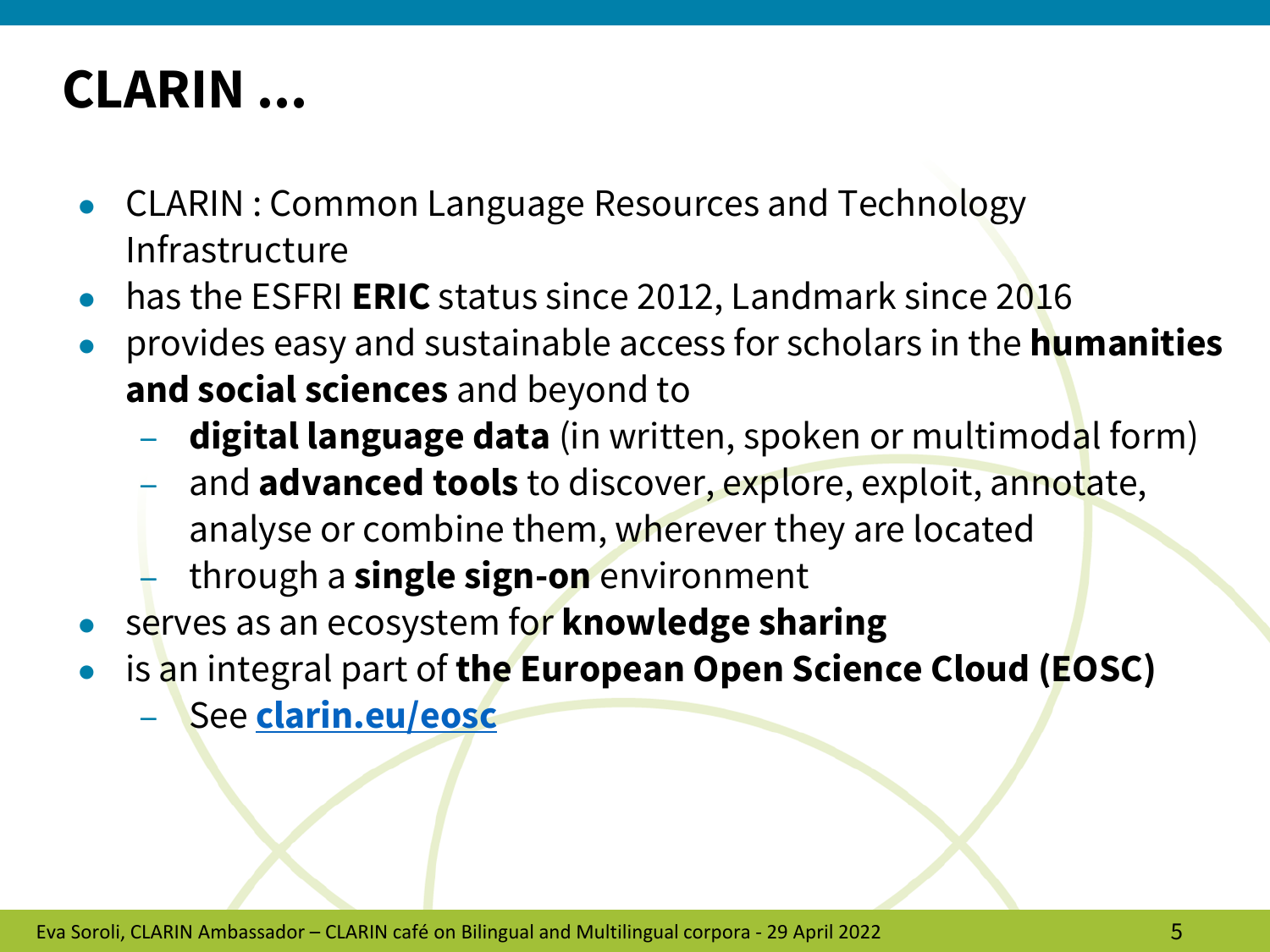### **CLARIN ...**

- CLARIN : Common Language Resources and Technology Infrastructure
- has the ESFRI **ERIC** status since 2012, Landmark since 2016
- provides easy and sustainable access for scholars in the **humanities and social sciences** and beyond to
	- **digital language data** (in written, spoken or multimodal form)
	- and **advanced tools** to discover, explore, exploit, annotate, analyse or combine them, wherever they are located
	- through a **single sign-on** environment
- serves as an ecosystem for **knowledge sharing**
- is an integral part of the European Open Science Cloud (EOSC)
	- See **[clarin.eu/eosc](http://www.clarin.eu/eosc)**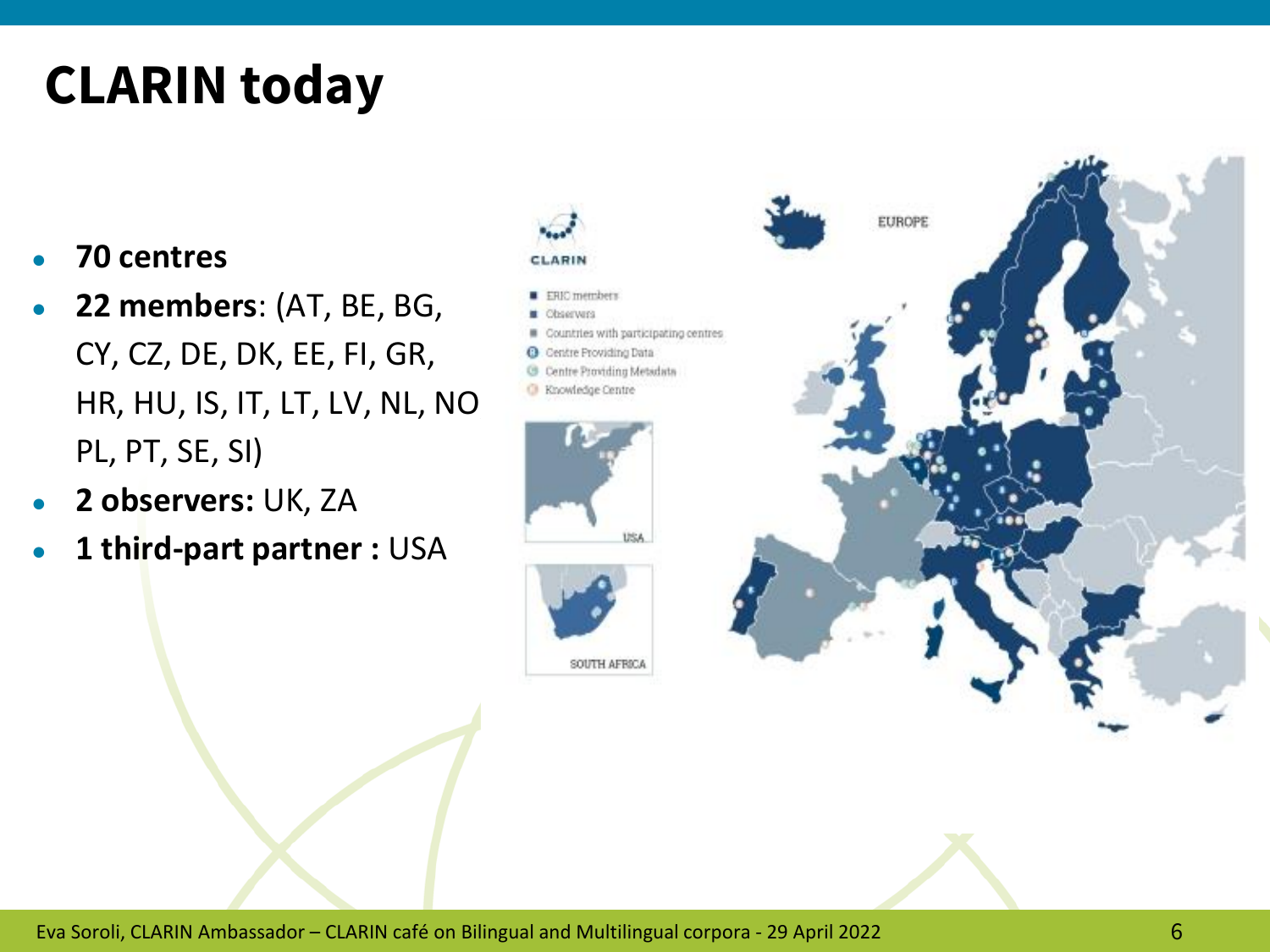### **CLARIN today**

- **70 centres**
- **22 members**: (AT, BE, BG, CY, CZ, DE, DK, EE, FI, GR, HR, HU, IS, IT, LT, LV, NL, NO, PL, PT, SE, SI)
- **2 observers:** UK, ZA
- **1 third-part partner :** USA

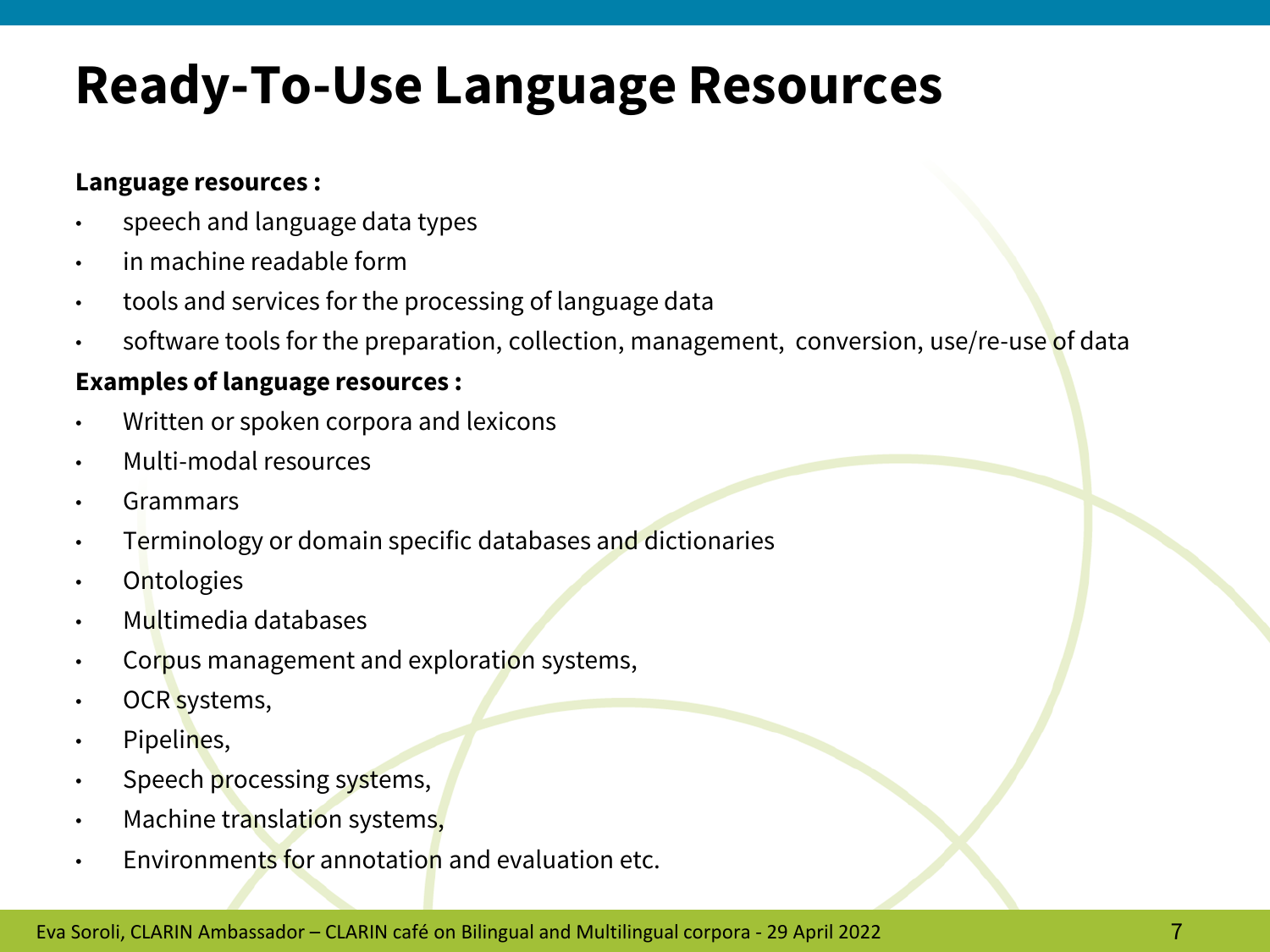### **Ready-To-Use Language Resources**

#### **Language resources :**

- speech and language data types
- in machine readable form
- tools and services for the processing of language data
- software tools for the preparation, collection, management, conversion, use/re-use of data

#### **Examples of language resources :**

- Written or spoken corpora and lexicons
- Multi-modal resources
- **Grammars**
- Terminology or domain specific databases and dictionaries
- **Ontologies**
- Multimedia databases
- Corpus management and exploration systems,
- OCR systems,
- Pipelines,
- Speech processing systems,
- Machine translation systems,
- Environments for annotation and evaluation etc.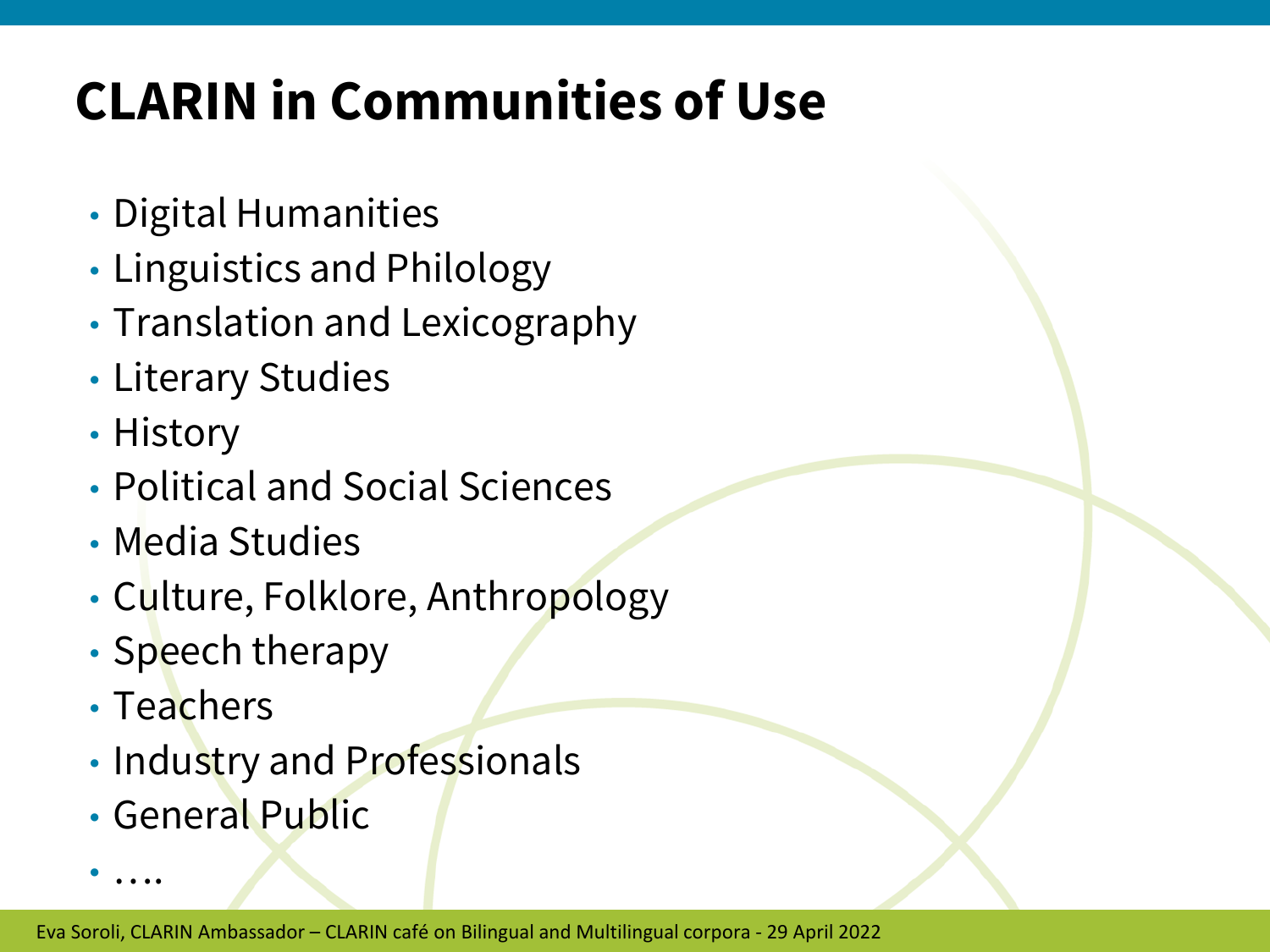## **CLARIN in Communities of Use**

- Digital Humanities
- Linguistics and Philology
- Translation and Lexicography
- Literary Studies
- History
- Political and Social Sciences
- Media Studies
- Culture, Folklore, Anthropology
- Speech therapy
- Teachers

• ….

- Industry and Professionals
- General Public

Eva Soroli, CLARIN Ambassador – CLARIN café on Bilingual and Multilingual corpora - 29 April 2022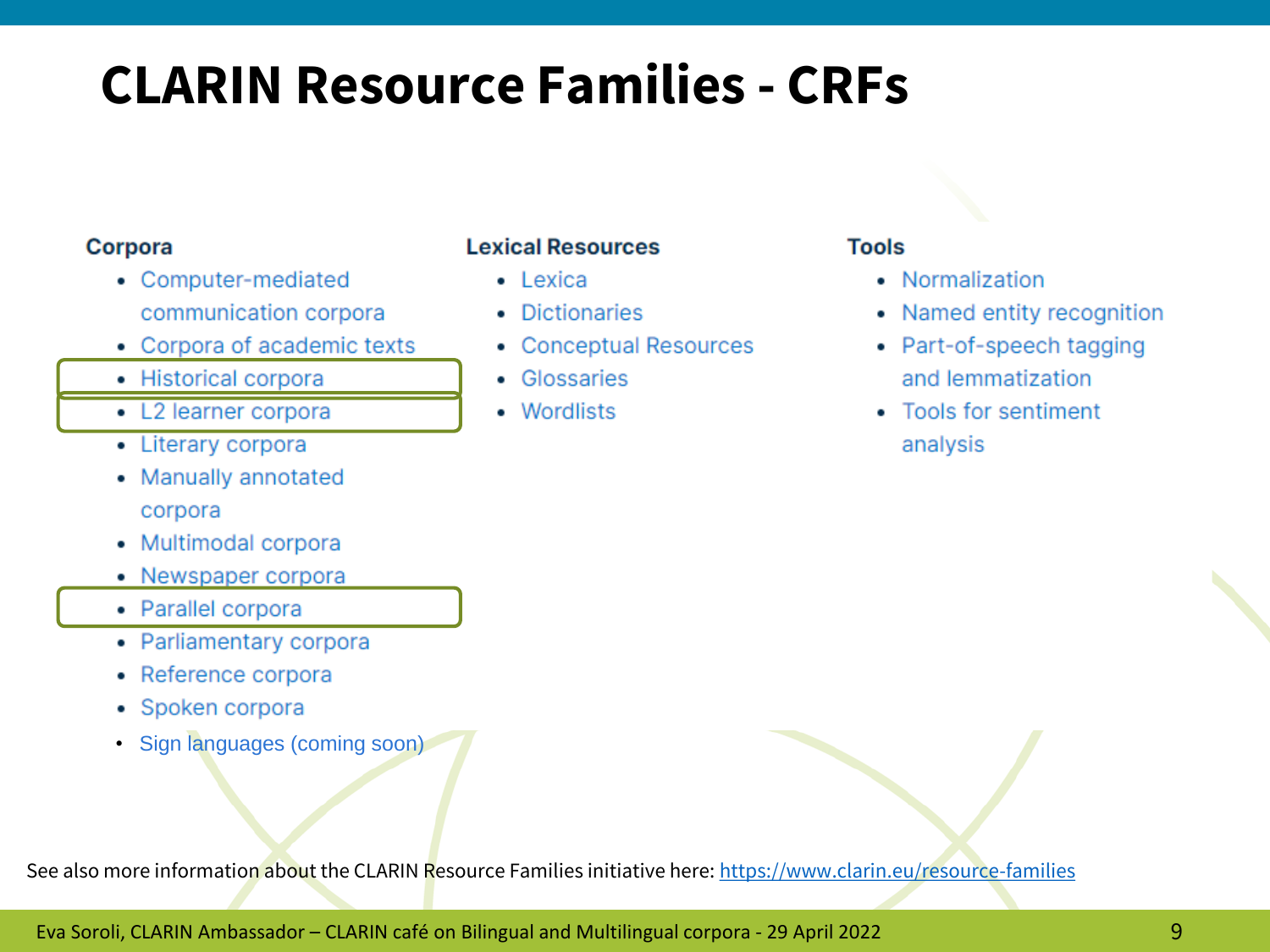### **CLARIN Resource Families - CRFs**

#### **Corpora**

- Computer-mediated communication corpora
- Corpora of academic texts
- Historical corpora
- L2 learner corpora
- Literary corpora
- Manually annotated corpora
- Multimodal corpora
- Newspaper corpora
- Parallel corpora
- Parliamentary corpora
- Reference corpora
- Spoken corpora
- Sign languages (coming soon)

#### **Lexical Resources**

- $\bullet$  Lexica
- Dictionaries
- Conceptual Resources
- Glossaries
- Wordlists

#### **Tools**

- Normalization
- Named entity recognition
- Part-of-speech tagging and lemmatization
- Tools for sentiment analysis

See also more information about the CLARIN Resource Families initiative here: <https://www.clarin.eu/resource-families>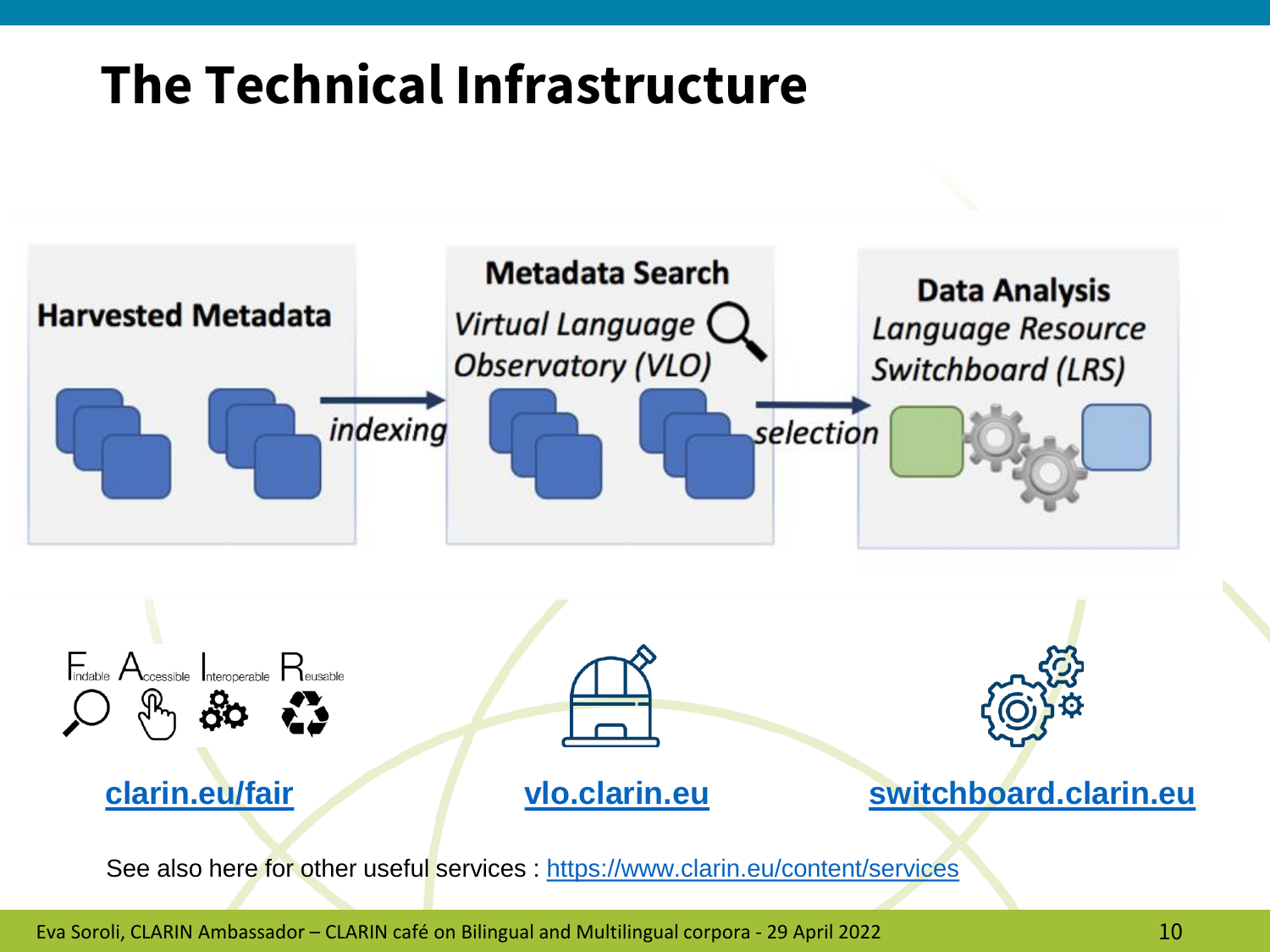### **The Technical Infrastructure**



Eva Soroli, CLARIN Ambassador – CLARIN café on Bilingual and Multilingual corpora - 29 April 2022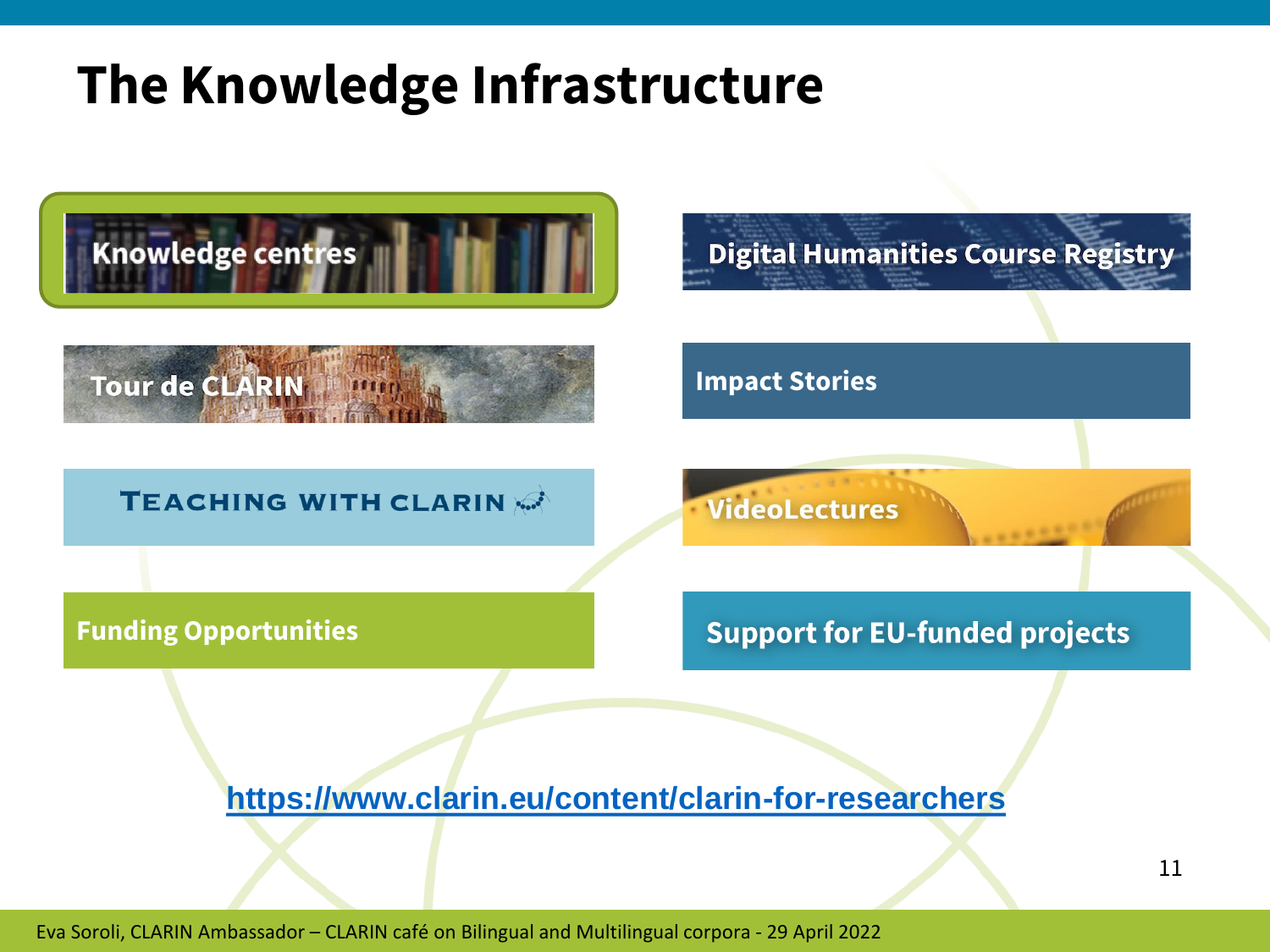### **The Knowledge Infrastructure**

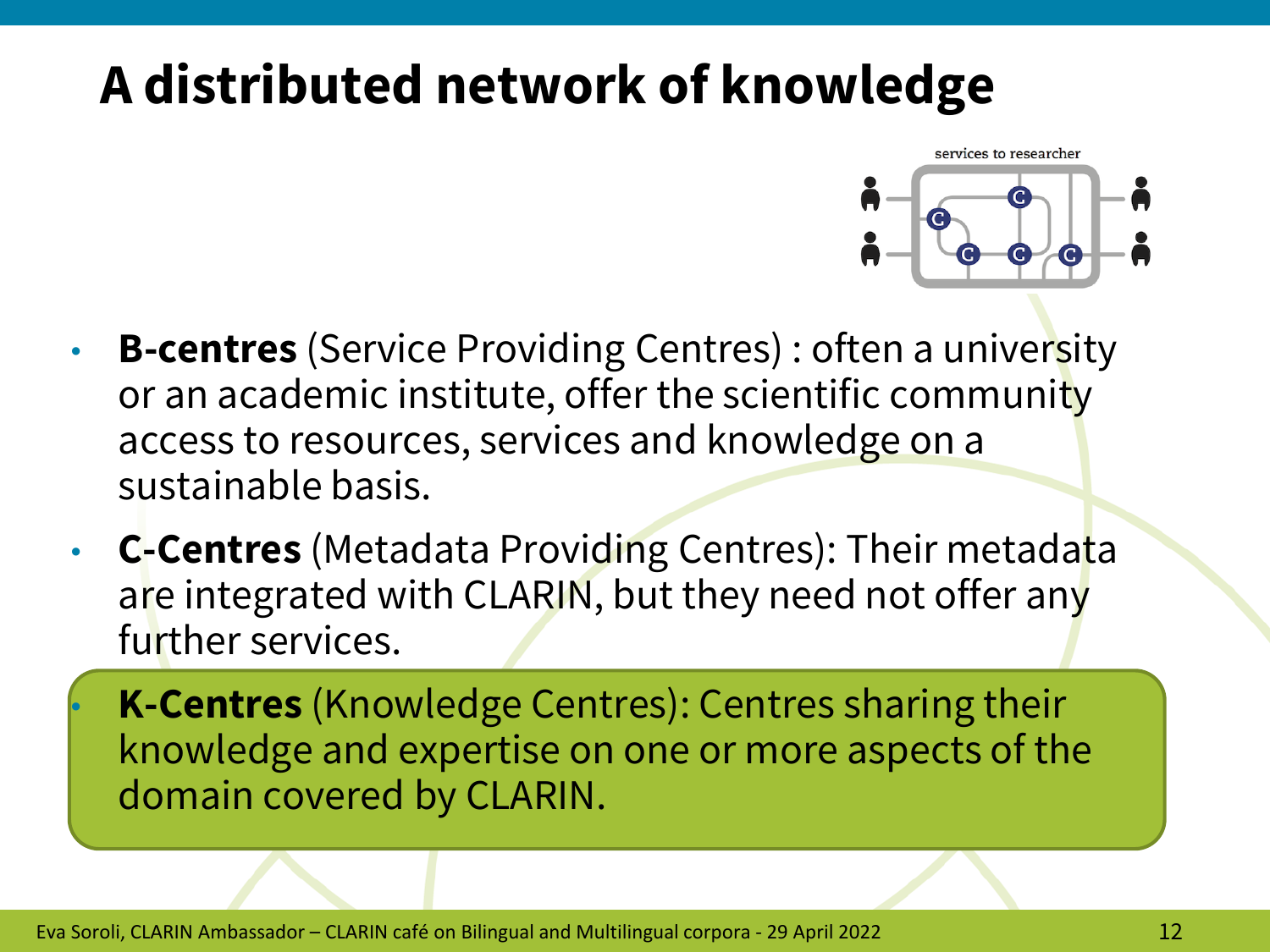### **A distributed network of knowledge**



- **B-centres** (Service Providing Centres) : often a university or an academic institute, offer the scientific community access to resources, services and knowledge on a sustainable basis.
- **C-Centres** (Metadata Providing Centres): Their metadata are integrated with CLARIN, but they need not offer any further services.

• **K-Centres** (Knowledge Centres): Centres sharing their knowledge and expertise on one or more aspects of the domain covered by CLARIN.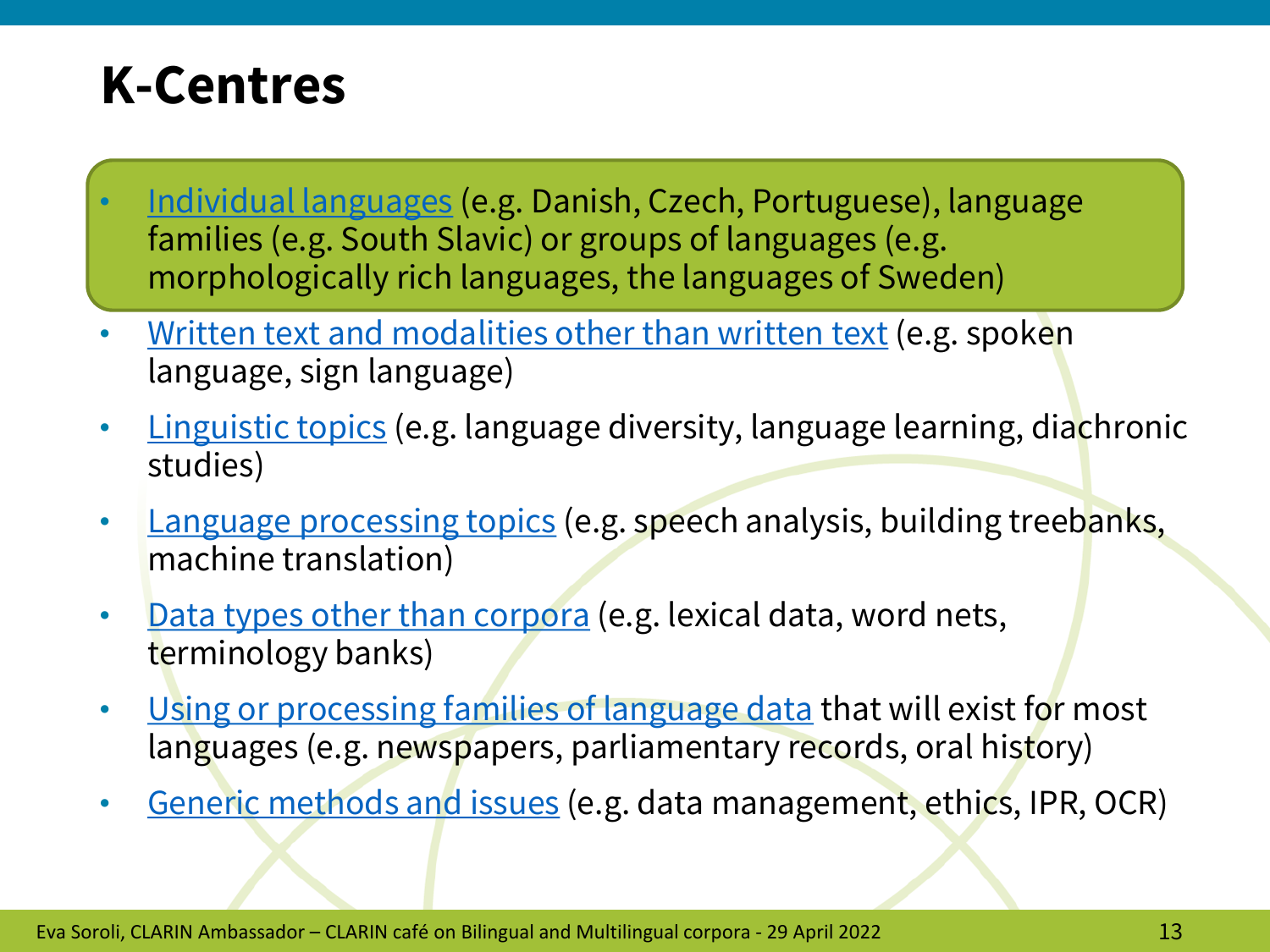### **K-Centres**

- [Individual languages](https://vonweber.nl/cgi/kcentres_list.cgi?lang) (e.g. Danish, Czech, Portuguese), language families (e.g. South Slavic) or groups of languages (e.g. morphologically rich languages, the languages of Sweden)
- [Written text and modalities other than written text](https://vonweber.nl/cgi/kcentres_list.cgi?mod) (e.g. spoken language, sign language)
- [Linguistic topics](https://vonweber.nl/cgi/kcentres_list.cgi?ling) (e.g. language diversity, language learning, diachronic studies)
- [Language processing topics](https://vonweber.nl/cgi/kcentres_list.cgi?proc) (e.g. speech analysis, building treebanks, machine translation)
- [Data types other than corpora](https://vonweber.nl/cgi/kcentres_list.cgi?data) (e.g. lexical data, word nets, terminology banks)
- [Using or processing families of language data](https://vonweber.nl/cgi/kcentres_list.cgi?fams) that will exist for most languages (e.g. newspapers, parliamentary records, oral history)
- [Generic methods and issues](https://vonweber.nl/cgi/kcentres_list.cgi?gener) (e.g. data management, ethics, IPR, OCR)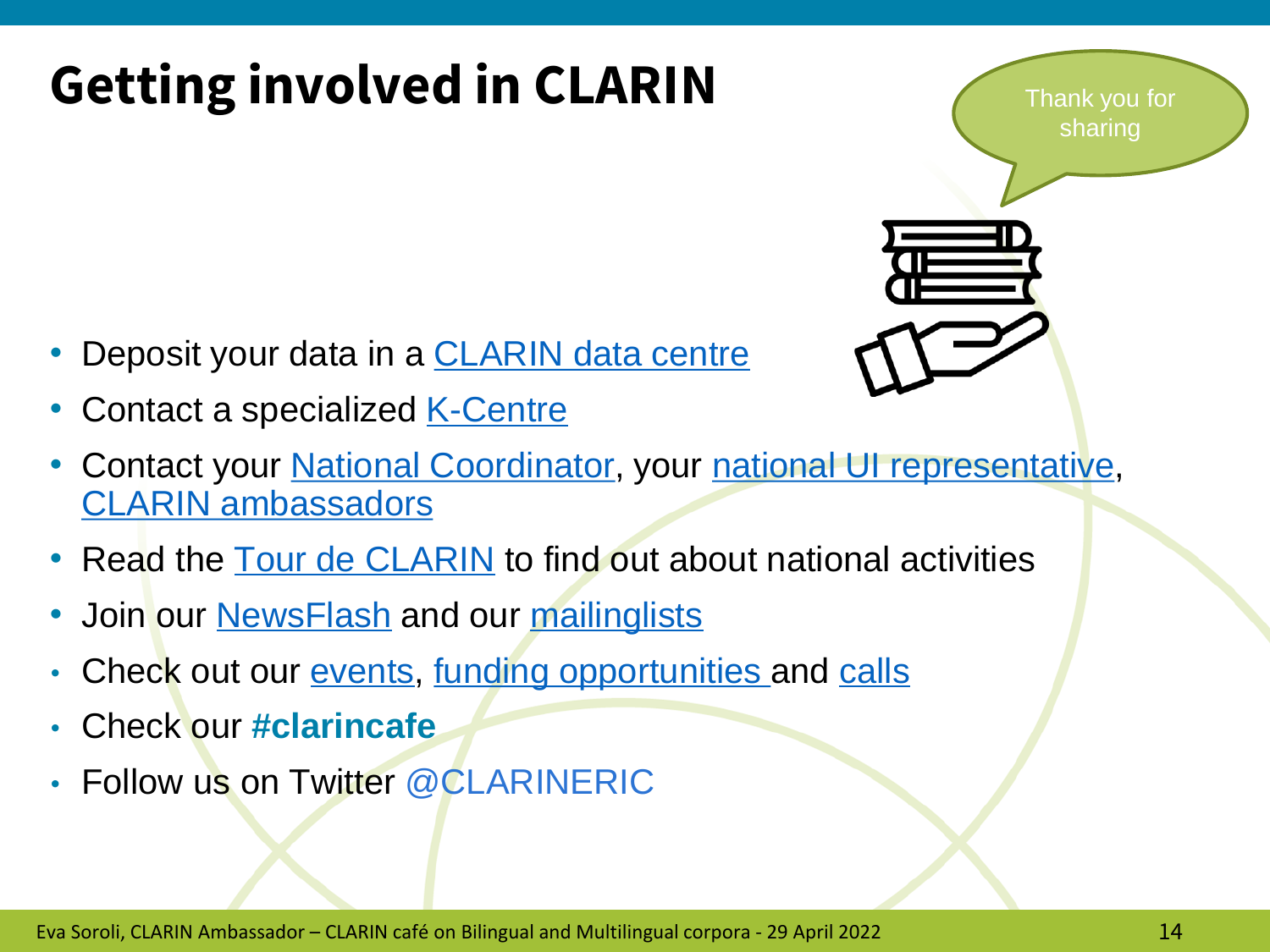## **Getting involved in CLARIN**

Thank you for sharing



- Deposit your data in a **CLARIN** data centre
- Contact a specialized **K-Centre**
- Contact your [National Coordinator,](https://www.clarin.eu/governance/national-coordinators-forum) your [national UI representative,](https://www.clarin.eu/governance/user-involvement-committee) [CLARIN ambassadors](https://www.clarin.eu/content/clarin-ambassadors-programme)
- Read the [Tour de CLARIN](https://www.clarin.eu/Tour-de-CLARIN) to find out about national activities
- Join our [NewsFlash](https://www.clarin.eu/content/newsflash) and our [mailinglists](https://www.clarin.eu/content/mailing-lists)
- Check out our <u>events</u>, <u>funding opportunities</u> and [calls](https://www.clarin.eu/content/seed-grants-support-horizon-europe-proposal-preparation)
- Check our **#clarincafe**
- Follow us on Twitter @CLARINERIC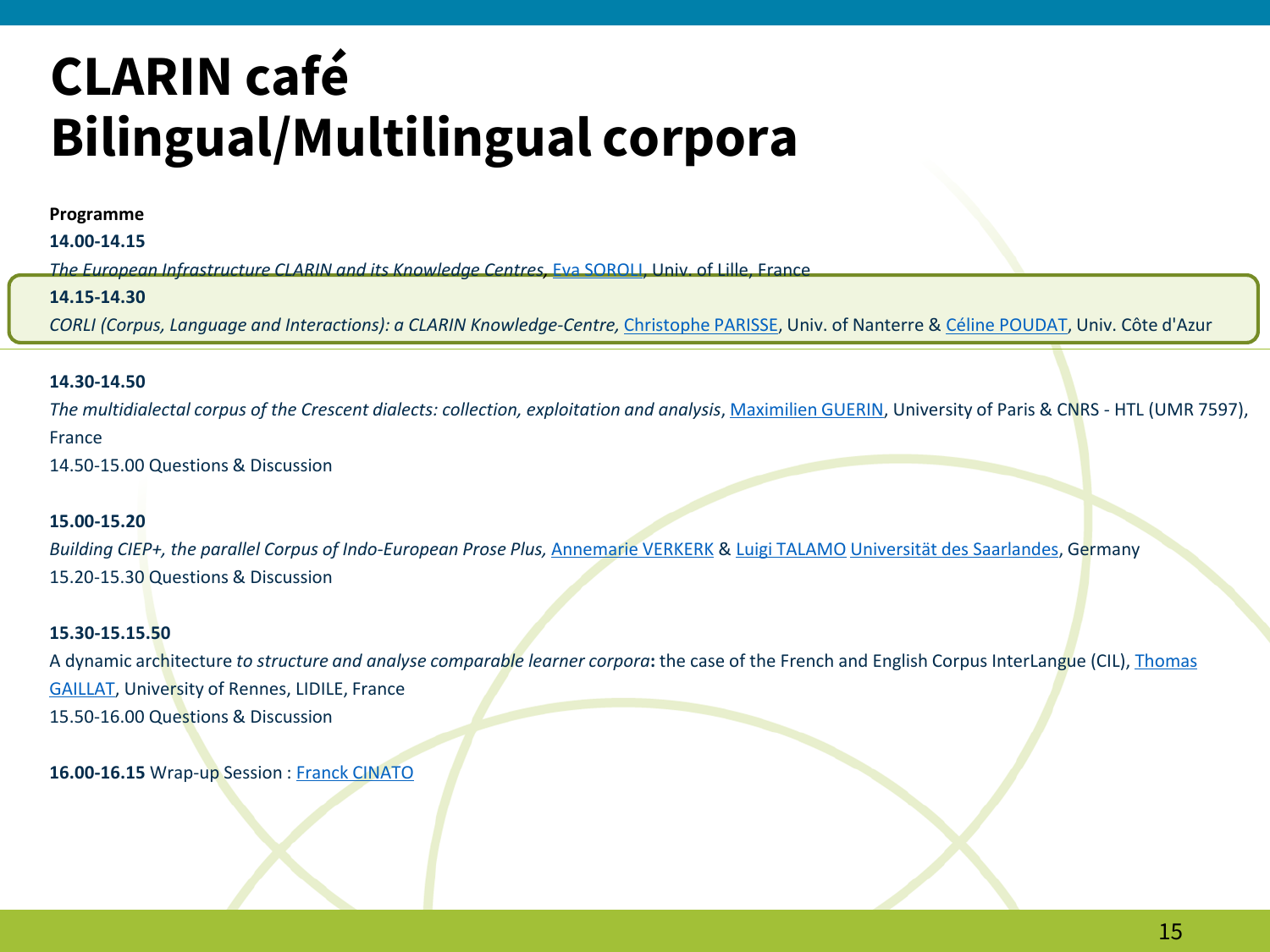#### **Programme**

**14.00-14.15**

*The European Infrastructure CLARIN and its Knowledge Centres,* [Eva SOROLI,](https://pro.univ-lille.fr/efstathia-soroli/) Univ. of Lille, France

#### **14.15-14.30**

*CORLI (Corpus, Language and Interactions): a CLARIN Knowledge-Centre,* [Christophe PARISSE](https://www.modyco.fr/fr/component/jsn/parisse.html), Univ. of Nanterre & [Céline POUDAT](http://poudat.fr/), Univ. Côte d'Azur

#### **14.30-14.50**

The multidialectal corpus of the Crescent dialects: collection, exploitation and analysis, [Maximilien GUERIN](http://maximilien.guerin.free.fr/), University of Paris & CNRS - HTL (UMR 7597), France

14.50-15.00 Questions & Discussion

#### **15.00-15.20**

*Building CIEP+, the parallel Corpus of Indo-European Prose Plus,* [Annemarie VERKERK](https://www.uni-saarland.de/lehrstuhl/verkerk.html) & [Luigi TALAMO](https://www.uni-saarland.de/lehrstuhl/verkerk/personen.html) Universität [des Saarlandes](https://www.researchgate.net/institution/Universitaet-des-Saarlandes), Germany 15.20-15.30 Questions & Discussion

#### **15.30-15.15.50**

A dynamic architecture *to structure and analyse comparable learner corpora***:** [the case of the French and English Corpus InterLangue](https://perso.univ-rennes2.fr/en/thomas.gaillat) (CIL), Thomas GAILLAT, University of Rennes, LIDILE, France 15.50-16.00 Questions & Discussion

**16.00-16.15** Wrap-up Session : [Franck CINATO](https://htl.cnrs.fr/equipe/franck-cinato)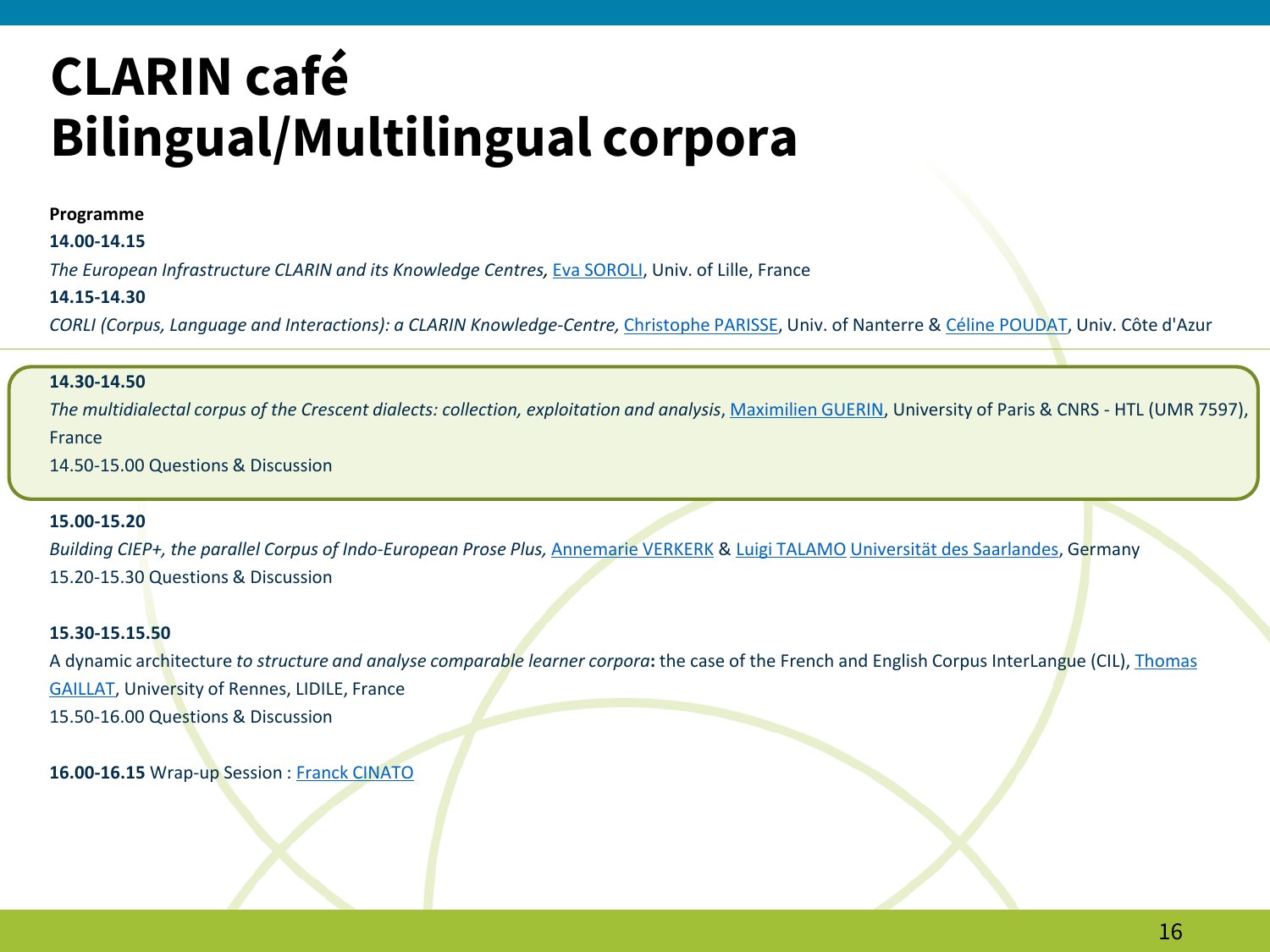#### **Programme**

#### **14.00-14.15**

*The European Infrastructure CLARIN and its Knowledge Centres,* [Eva SOROLI,](https://pro.univ-lille.fr/efstathia-soroli/) Univ. of Lille, France

#### **14.15-14.30**

*CORLI (Corpus, Language and Interactions): a CLARIN Knowledge-Centre,* [Christophe PARISSE](https://www.modyco.fr/fr/component/jsn/parisse.html), Univ. of Nanterre & [Céline POUDAT](http://poudat.fr/), Univ. Côte d'Azur

#### **14.30-14.50**

*The multidialectal corpus of the Crescent dialects: collection, exploitation and analysis*, [Maximilien GUERIN](http://maximilien.guerin.free.fr/), University of Paris & CNRS - HTL (UMR 7597), France

14.50-15.00 Questions & Discussion

#### **15.00-15.20**

*Building CIEP+, the parallel Corpus of Indo-European Prose Plus,* [Annemarie VERKERK](https://www.uni-saarland.de/lehrstuhl/verkerk.html) & [Luigi TALAMO](https://www.uni-saarland.de/lehrstuhl/verkerk/personen.html) Universität [des Saarlandes](https://www.researchgate.net/institution/Universitaet-des-Saarlandes), Germany 15.20-15.30 Questions & Discussion

#### **15.30-15.15.50**

A dynamic architecture *to structure and analyse comparable learner corpora***:** [the case of the French and English Corpus InterLangue](https://perso.univ-rennes2.fr/en/thomas.gaillat) (CIL), Thomas GAILLAT, University of Rennes, LIDILE, France 15.50-16.00 Questions & Discussion

**16.00-16.15** Wrap-up Session : [Franck CINATO](https://htl.cnrs.fr/equipe/franck-cinato)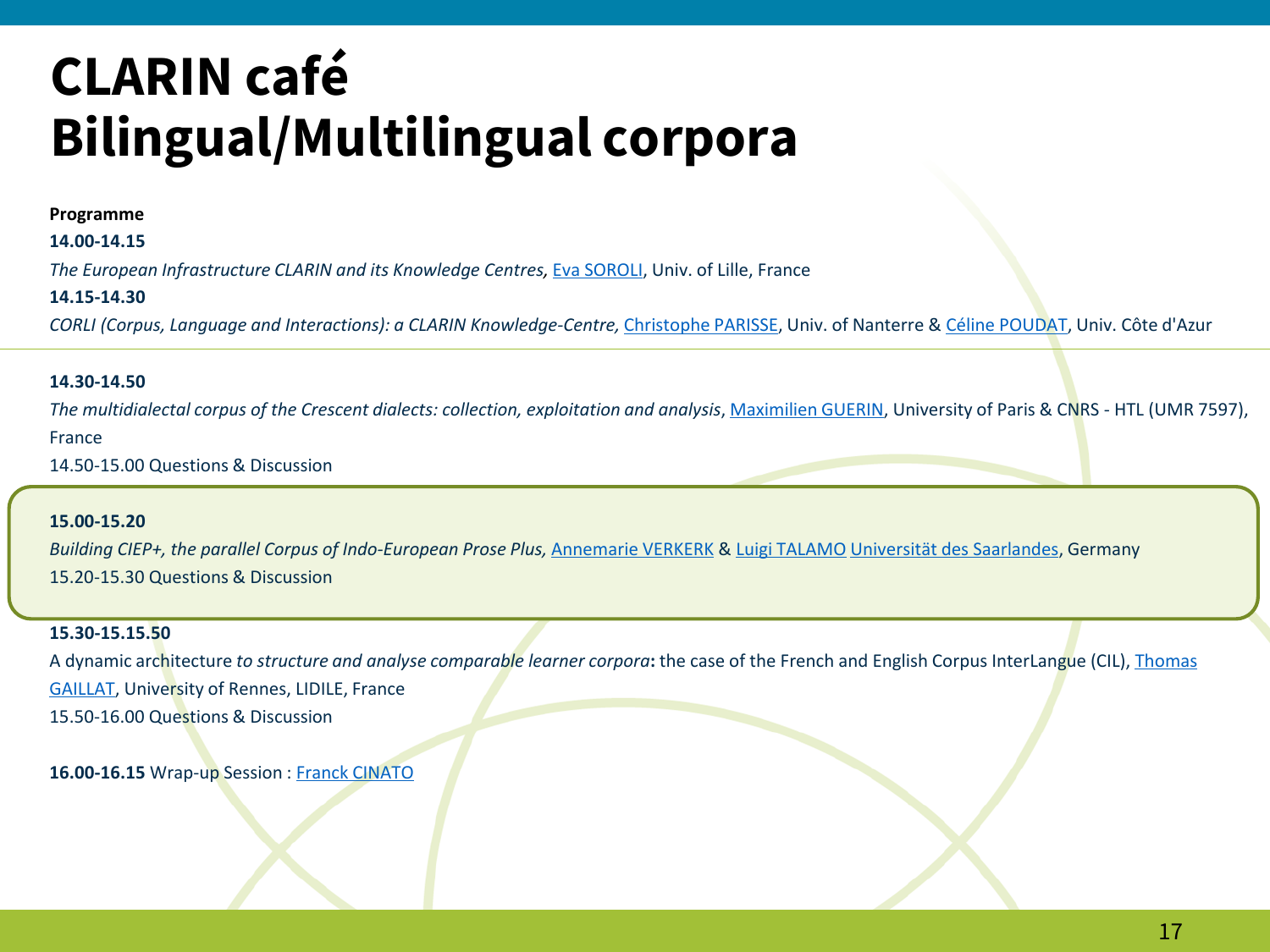#### **Programme**

#### **14.00-14.15**

*The European Infrastructure CLARIN and its Knowledge Centres,* [Eva SOROLI,](https://pro.univ-lille.fr/efstathia-soroli/) Univ. of Lille, France

#### **14.15-14.30**

*CORLI (Corpus, Language and Interactions): a CLARIN Knowledge-Centre,* [Christophe PARISSE](https://www.modyco.fr/fr/component/jsn/parisse.html), Univ. of Nanterre & [Céline POUDAT](http://poudat.fr/), Univ. Côte d'Azur

#### **14.30-14.50**

*The multidialectal corpus of the Crescent dialects: collection, exploitation and analysis*, [Maximilien GUERIN](http://maximilien.guerin.free.fr/), University of Paris & CNRS - HTL (UMR 7597), France

14.50-15.00 Questions & Discussion

#### **15.00-15.20**

*Building CIEP+, the parallel Corpus of Indo-European Prose Plus,* [Annemarie VERKERK](https://www.uni-saarland.de/lehrstuhl/verkerk.html) & [Luigi TALAMO](https://www.uni-saarland.de/lehrstuhl/verkerk/personen.html) Universität [des Saarlandes](https://www.researchgate.net/institution/Universitaet-des-Saarlandes), Germany 15.20-15.30 Questions & Discussion

#### **15.30-15.15.50**

A dynamic architecture *to structure and analyse comparable learner corpora***:** [the case of the French and English Corpus InterLangue](https://perso.univ-rennes2.fr/en/thomas.gaillat) (CIL), Thomas GAILLAT, University of Rennes, LIDILE, France 15.50-16.00 Questions & Discussion

**16.00-16.15** Wrap-up Session : [Franck CINATO](https://htl.cnrs.fr/equipe/franck-cinato)